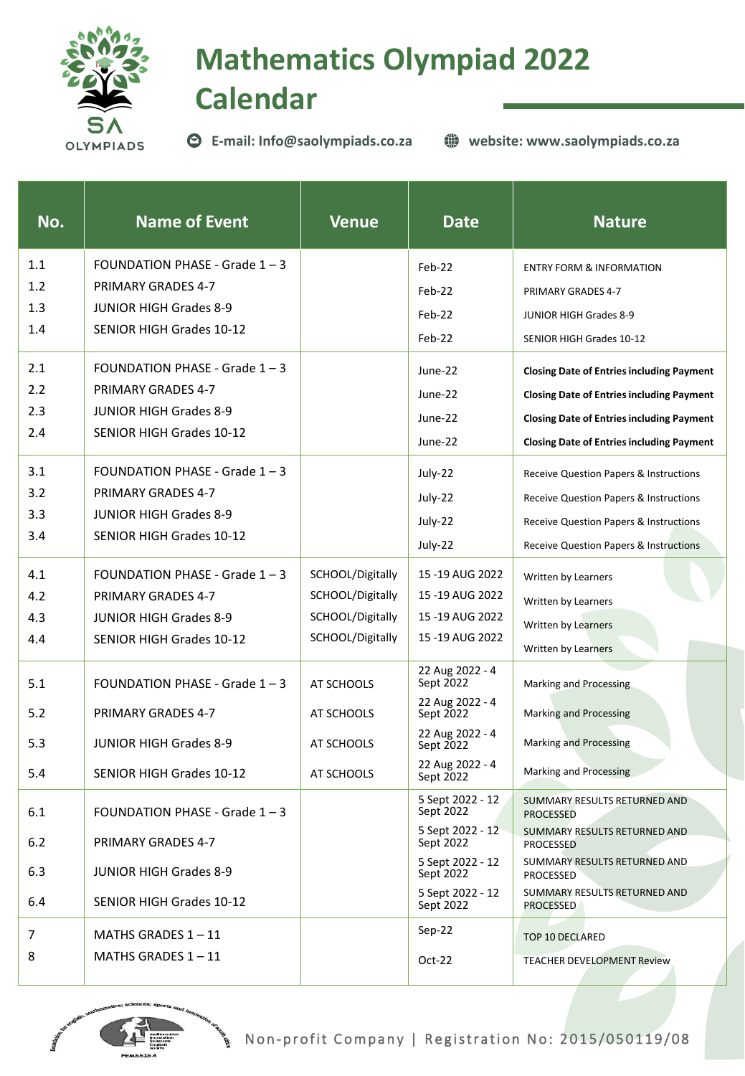

## **Mathematics Olympiad 2022 Calendar**

**E-mail: Info@saolympiads.co.za**

**website: www.saolympiads.co.za**

| No. | <b>Name of Event</b>             | <b>Venue</b>     | <b>Date</b>                   | <b>Nature</b>                                    |
|-----|----------------------------------|------------------|-------------------------------|--------------------------------------------------|
| 1.1 | FOUNDATION PHASE - Grade $1 - 3$ |                  | Feb-22                        | <b>ENTRY FORM &amp; INFORMATION</b>              |
| 1.2 | <b>PRIMARY GRADES 4-7</b>        |                  | Feb-22                        | PRIMARY GRADES 4-7                               |
| 1.3 | <b>JUNIOR HIGH Grades 8-9</b>    |                  | Feb-22                        | <b>JUNIOR HIGH Grades 8-9</b>                    |
| 1.4 | SENIOR HIGH Grades 10-12         |                  | $Feb-22$                      | SENIOR HIGH Grades 10-12                         |
| 2.1 | FOUNDATION PHASE - Grade $1 - 3$ |                  | June-22                       | <b>Closing Date of Entries including Payment</b> |
| 2.2 | <b>PRIMARY GRADES 4-7</b>        |                  | June-22                       | <b>Closing Date of Entries including Payment</b> |
| 2.3 | <b>JUNIOR HIGH Grades 8-9</b>    |                  | June-22                       | <b>Closing Date of Entries including Payment</b> |
| 2.4 | <b>SENIOR HIGH Grades 10-12</b>  |                  | June-22                       | <b>Closing Date of Entries including Payment</b> |
| 3.1 | FOUNDATION PHASE - Grade $1 - 3$ |                  | July-22                       | Receive Question Papers & Instructions           |
| 3.2 | <b>PRIMARY GRADES 4-7</b>        |                  | July-22                       | Receive Question Papers & Instructions           |
| 3.3 | <b>JUNIOR HIGH Grades 8-9</b>    |                  | July-22                       | Receive Question Papers & Instructions           |
| 3.4 | <b>SENIOR HIGH Grades 10-12</b>  |                  | July-22                       | Receive Question Papers & Instructions           |
| 4.1 | FOUNDATION PHASE - Grade $1 - 3$ | SCHOOL/Digitally | 15 - 19 AUG 2022              | Written by Learners                              |
| 4.2 | <b>PRIMARY GRADES 4-7</b>        | SCHOOL/Digitally | 15 - 19 AUG 2022              | Written by Learners                              |
| 4.3 | <b>JUNIOR HIGH Grades 8-9</b>    | SCHOOL/Digitally | 15 -19 AUG 2022               | Written by Learners                              |
| 4.4 | <b>SENIOR HIGH Grades 10-12</b>  | SCHOOL/Digitally | 15-19 AUG 2022                | Written by Learners                              |
| 5.1 | FOUNDATION PHASE - Grade 1 - 3   | AT SCHOOLS       | 22 Aug 2022 - 4<br>Sept 2022  | <b>Marking and Processing</b>                    |
| 5.2 | <b>PRIMARY GRADES 4-7</b>        | AT SCHOOLS       | 22 Aug 2022 - 4<br>Sept 2022  | <b>Marking and Processing</b>                    |
| 5.3 | <b>JUNIOR HIGH Grades 8-9</b>    | AT SCHOOLS       | 22 Aug 2022 - 4<br>Sept 2022  | <b>Marking and Processing</b>                    |
| 5.4 | <b>SENIOR HIGH Grades 10-12</b>  | AT SCHOOLS       | 22 Aug 2022 - 4<br>Sept 2022  | <b>Marking and Processing</b>                    |
| 6.1 | FOUNDATION PHASE - Grade 1 - 3   |                  | 5 Sept 2022 - 12<br>Sept 2022 | SUMMARY RESULTS RETURNED AND<br><b>PROCESSED</b> |
| 6.2 | PRIMARY GRADES 4-7               |                  | 5 Sept 2022 - 12<br>Sept 2022 | SUMMARY RESULTS RETURNED AND<br><b>PROCESSED</b> |
| 6.3 | <b>JUNIOR HIGH Grades 8-9</b>    |                  | 5 Sept 2022 - 12<br>Sept 2022 | SUMMARY RESULTS RETURNED AND<br>PROCESSED        |
| 6.4 | <b>SENIOR HIGH Grades 10-12</b>  |                  | 5 Sept 2022 - 12<br>Sept 2022 | SUMMARY RESULTS RETURNED AND<br><b>PROCESSED</b> |
| 7   | MATHS GRADES $1 - 11$            |                  | $Sep-22$                      | <b>TOP 10 DECLARED</b>                           |
| 8   | MATHS GRADES $1 - 11$            |                  | $Oct-22$                      | <b>TEACHER DEVELOPMENT Review</b>                |